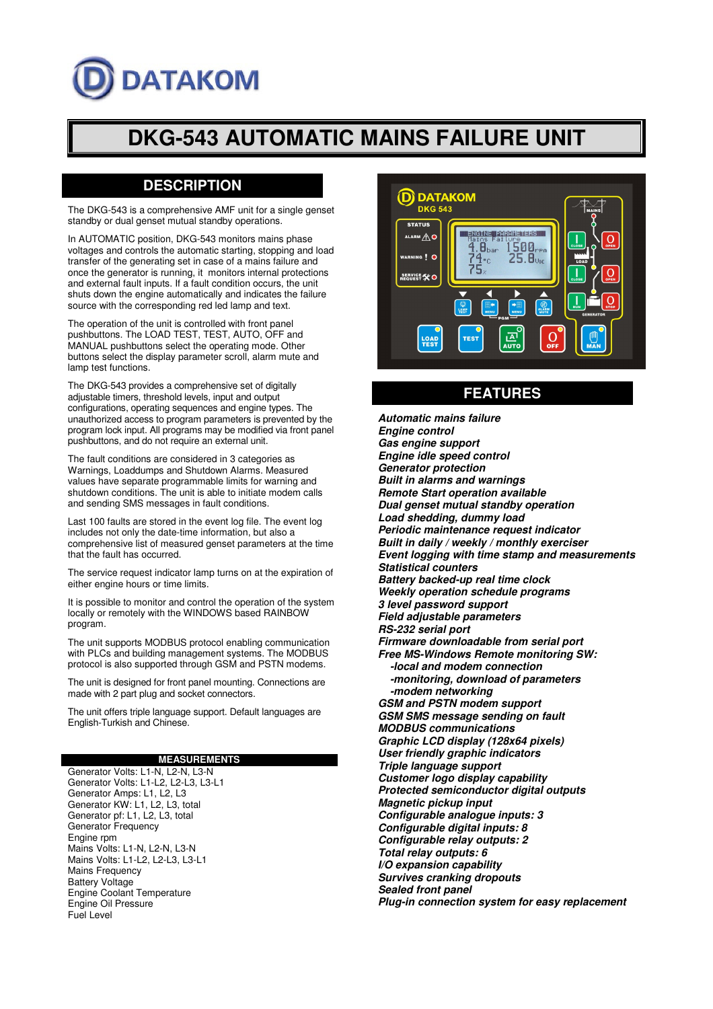# **DATAKOM**

## **DKG-543 AUTOMATIC MAINS FAILURE UNIT**

## **DESCRIPTION**

The DKG-543 is a comprehensive AMF unit for a single genset standby or dual genset mutual standby operations.

In AUTOMATIC position, DKG-543 monitors mains phase voltages and controls the automatic starting, stopping and load transfer of the generating set in case of a mains failure and once the generator is running, it monitors internal protections and external fault inputs. If a fault condition occurs, the unit shuts down the engine automatically and indicates the failure source with the corresponding red led lamp and text.

The operation of the unit is controlled with front panel pushbuttons. The LOAD TEST, TEST, AUTO, OFF and MANUAL pushbuttons select the operating mode. Other buttons select the display parameter scroll, alarm mute and lamp test functions.

The DKG-543 provides a comprehensive set of digitally adjustable timers, threshold levels, input and output configurations, operating sequences and engine types. The unauthorized access to program parameters is prevented by the program lock input. All programs may be modified via front panel pushbuttons, and do not require an external unit.

The fault conditions are considered in 3 categories as Warnings, Loaddumps and Shutdown Alarms. Measured values have separate programmable limits for warning and shutdown conditions. The unit is able to initiate modem calls and sending SMS messages in fault conditions.

Last 100 faults are stored in the event log file. The event log includes not only the date-time information, but also a comprehensive list of measured genset parameters at the time that the fault has occurred.

The service request indicator lamp turns on at the expiration of either engine hours or time limits.

It is possible to monitor and control the operation of the system locally or remotely with the WINDOWS based RAINBOW program.

The unit supports MODBUS protocol enabling communication with PLCs and building management systems. The MODBUS protocol is also supported through GSM and PSTN modems.

The unit is designed for front panel mounting. Connections are made with 2 part plug and socket connectors.

The unit offers triple language support. Default languages are English-Turkish and Chinese.

## **MEASUREMENTS**

Generator Volts: L1-N, L2-N, L3-N Generator Volts: L1-L2, L2-L3, L3-L1 Generator Amps: L1, L2, L3 Generator KW: L1, L2, L3, total Generator pf: L1, L2, L3, total Generator Frequency Engine rpm Mains Volts: L1-N, L2-N, L3-N Mains Volts: L1-L2, L2-L3, L3-L1 Mains Frequency Battery Voltage Engine Coolant Temperature Engine Oil Pressure Fuel Level



## **FEATURES**

**Automatic mains failure Engine control Gas engine support Engine idle speed control Generator protection Built in alarms and warnings Remote Start operation available Dual genset mutual standby operation Load shedding, dummy load Periodic maintenance request indicator Built in daily / weekly / monthly exerciser Event logging with time stamp and measurements Statistical counters Battery backed-up real time clock Weekly operation schedule programs 3 level password support Field adjustable parameters RS-232 serial port Firmware downloadable from serial port Free MS-Windows Remote monitoring SW: -local and modem connection -monitoring, download of parameters -modem networking GSM and PSTN modem support GSM SMS message sending on fault MODBUS communications Graphic LCD display (128x64 pixels) User friendly graphic indicators Triple language support Customer logo display capability Protected semiconductor digital outputs Magnetic pickup input Configurable analogue inputs: 3 Configurable digital inputs: 8 Configurable relay outputs: 2 Total relay outputs: 6 I/O expansion capability Survives cranking dropouts Sealed front panel Plug-in connection system for easy replacement**